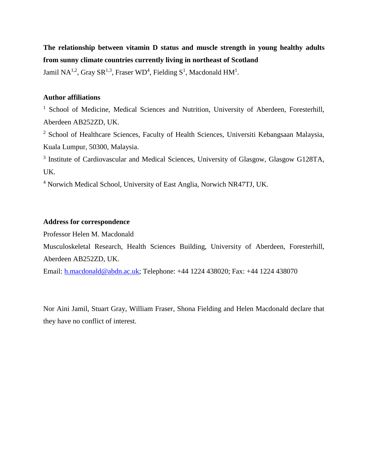# **The relationship between vitamin D status and muscle strength in young healthy adults from sunny climate countries currently living in northeast of Scotland**

Jamil NA<sup>1,2</sup>, Gray SR<sup>1,3</sup>, Fraser WD<sup>4</sup>, Fielding S<sup>1</sup>, Macdonald HM<sup>1</sup>.

## **Author affiliations**

<sup>1</sup> School of Medicine, Medical Sciences and Nutrition, University of Aberdeen, Foresterhill, Aberdeen AB252ZD, UK.

<sup>2</sup> School of Healthcare Sciences, Faculty of Health Sciences, Universiti Kebangsaan Malaysia, Kuala Lumpur, 50300, Malaysia.

<sup>3</sup> Institute of Cardiovascular and Medical Sciences, University of Glasgow, Glasgow G128TA, UK.

<sup>4</sup> Norwich Medical School, University of East Anglia, Norwich NR47TJ, UK.

## **Address for correspondence**

Professor Helen M. Macdonald

Musculoskeletal Research, Health Sciences Building, University of Aberdeen, Foresterhill, Aberdeen AB252ZD, UK.

Email: [h.macdonald@abdn.ac.uk;](mailto:h.macdonald@abdn.ac.uk) Telephone: +44 1224 438020; Fax: +44 1224 438070

Nor Aini Jamil, Stuart Gray, William Fraser, Shona Fielding and Helen Macdonald declare that they have no conflict of interest.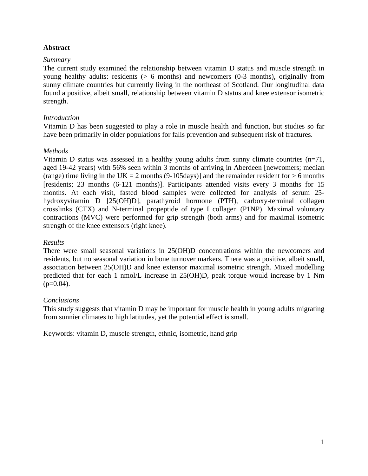## **Abstract**

## *Summary*

The current study examined the relationship between vitamin D status and muscle strength in young healthy adults: residents (> 6 months) and newcomers (0-3 months), originally from sunny climate countries but currently living in the northeast of Scotland. Our longitudinal data found a positive, albeit small, relationship between vitamin D status and knee extensor isometric strength.

## *Introduction*

Vitamin D has been suggested to play a role in muscle health and function, but studies so far have been primarily in older populations for falls prevention and subsequent risk of fractures.

## *Methods*

Vitamin D status was assessed in a healthy young adults from sunny climate countries  $(n=71,$ aged 19-42 years) with 56% seen within 3 months of arriving in Aberdeen [newcomers; median (range) time living in the UK = 2 months (9-105days)] and the remainder resident for  $> 6$  months [residents; 23 months (6-121 months)]. Participants attended visits every 3 months for 15 months. At each visit, fasted blood samples were collected for analysis of serum 25 hydroxyvitamin D [25(OH)D], parathyroid hormone (PTH), carboxy-terminal collagen crosslinks (CTX) and N-terminal propeptide of type I collagen (P1NP). Maximal voluntary contractions (MVC) were performed for grip strength (both arms) and for maximal isometric strength of the knee extensors (right knee).

## *Results*

There were small seasonal variations in 25(OH)D concentrations within the newcomers and residents, but no seasonal variation in bone turnover markers. There was a positive, albeit small, association between 25(OH)D and knee extensor maximal isometric strength. Mixed modelling predicted that for each 1 nmol/L increase in 25(OH)D, peak torque would increase by 1 Nm  $(p=0.04)$ .

## *Conclusions*

This study suggests that vitamin D may be important for muscle health in young adults migrating from sunnier climates to high latitudes, yet the potential effect is small.

Keywords: vitamin D, muscle strength, ethnic, isometric, hand grip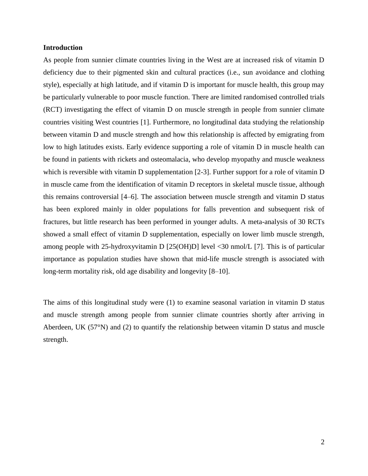### **Introduction**

As people from sunnier climate countries living in the West are at increased risk of vitamin D deficiency due to their pigmented skin and cultural practices (i.e., sun avoidance and clothing style), especially at high latitude, and if vitamin D is important for muscle health, this group may be particularly vulnerable to poor muscle function. There are limited randomised controlled trials (RCT) investigating the effect of vitamin D on muscle strength in people from sunnier climate countries visiting West countries [1]. Furthermore, no longitudinal data studying the relationship between vitamin D and muscle strength and how this relationship is affected by emigrating from low to high latitudes exists. Early evidence supporting a role of vitamin D in muscle health can be found in patients with rickets and osteomalacia, who develop myopathy and muscle weakness which is reversible with vitamin D supplementation [2-3]. Further support for a role of vitamin D in muscle came from the identification of vitamin D receptors in skeletal muscle tissue, although this remains controversial [4–6]. The association between muscle strength and vitamin D status has been explored mainly in older populations for falls prevention and subsequent risk of fractures, but little research has been performed in younger adults. A meta-analysis of 30 RCTs showed a small effect of vitamin D supplementation, especially on lower limb muscle strength, among people with 25-hydroxyvitamin D [25(OH)D] level <30 nmol/L [7]. This is of particular importance as population studies have shown that mid-life muscle strength is associated with long-term mortality risk, old age disability and longevity [8–10].

The aims of this longitudinal study were (1) to examine seasonal variation in vitamin D status and muscle strength among people from sunnier climate countries shortly after arriving in Aberdeen, UK (57°N) and (2) to quantify the relationship between vitamin D status and muscle strength.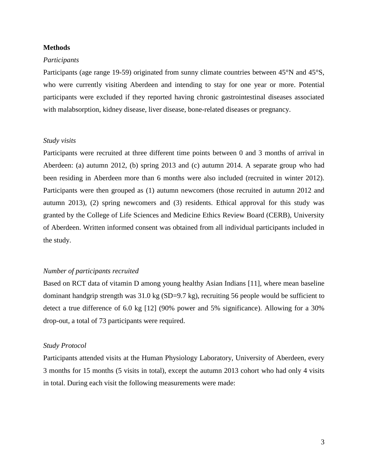#### **Methods**

### *Participants*

Participants (age range 19-59) originated from sunny climate countries between 45°N and 45°S, who were currently visiting Aberdeen and intending to stay for one year or more. Potential participants were excluded if they reported having chronic gastrointestinal diseases associated with malabsorption, kidney disease, liver disease, bone-related diseases or pregnancy.

#### *Study visits*

Participants were recruited at three different time points between 0 and 3 months of arrival in Aberdeen: (a) autumn 2012, (b) spring 2013 and (c) autumn 2014. A separate group who had been residing in Aberdeen more than 6 months were also included (recruited in winter 2012). Participants were then grouped as (1) autumn newcomers (those recruited in autumn 2012 and autumn 2013), (2) spring newcomers and (3) residents. Ethical approval for this study was granted by the College of Life Sciences and Medicine Ethics Review Board (CERB), University of Aberdeen. Written informed consent was obtained from all individual participants included in the study.

### *Number of participants recruited*

Based on RCT data of vitamin D among young healthy Asian Indians [11], where mean baseline dominant handgrip strength was  $31.0 \text{ kg}$  (SD=9.7 kg), recruiting 56 people would be sufficient to detect a true difference of 6.0 kg [12] (90% power and 5% significance). Allowing for a 30% drop-out, a total of 73 participants were required.

#### *Study Protocol*

Participants attended visits at the Human Physiology Laboratory, University of Aberdeen, every 3 months for 15 months (5 visits in total), except the autumn 2013 cohort who had only 4 visits in total. During each visit the following measurements were made: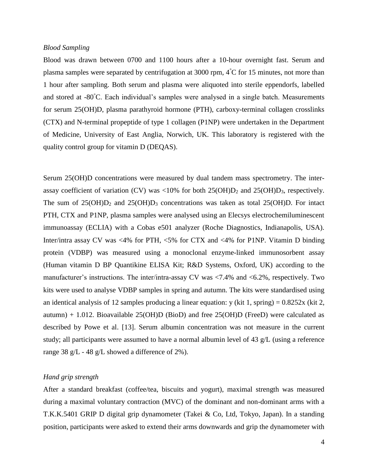### *Blood Sampling*

Blood was drawn between 0700 and 1100 hours after a 10-hour overnight fast. Serum and plasma samples were separated by centrifugation at 3000 rpm,  $4^{\circ}$ C for 15 minutes, not more than 1 hour after sampling. Both serum and plasma were aliquoted into sterile eppendorfs, labelled and stored at -80°C. Each individual's samples were analysed in a single batch. Measurements for serum 25(OH)D, plasma parathyroid hormone (PTH), carboxy-terminal collagen crosslinks (CTX) and N-terminal propeptide of type 1 collagen (P1NP) were undertaken in the Department of Medicine, University of East Anglia, Norwich, UK. This laboratory is registered with the quality control group for vitamin D (DEQAS).

Serum 25(OH)D concentrations were measured by dual tandem mass spectrometry. The interassay coefficient of variation (CV) was <10% for both  $25(OH)D_2$  and  $25(OH)D_3$ , respectively. The sum of  $25(OH)D_2$  and  $25(OH)D_3$  concentrations was taken as total  $25(OH)D$ . For intact PTH, CTX and P1NP, plasma samples were analysed using an Elecsys electrochemiluminescent immunoassay (ECLIA) with a Cobas e501 analyzer (Roche Diagnostics, Indianapolis, USA). Inter/intra assay CV was <4% for PTH, <5% for CTX and <4% for P1NP. Vitamin D binding protein (VDBP) was measured using a monoclonal enzyme-linked immunosorbent assay (Human vitamin D BP Quantikine ELISA Kit; R&D Systems, Oxford, UK) according to the manufacturer's instructions. The inter/intra-assay CV was <7.4% and <6.2%, respectively. Two kits were used to analyse VDBP samples in spring and autumn. The kits were standardised using an identical analysis of 12 samples producing a linear equation: y (kit 1, spring) =  $0.8252x$  (kit 2, autumn)  $+ 1.012$ . Bioavailable 25(OH)D (BioD) and free 25(OH)D (FreeD) were calculated as described by Powe et al. [13]. Serum albumin concentration was not measure in the current study; all participants were assumed to have a normal albumin level of 43 g/L (using a reference range 38 g/L - 48 g/L showed a difference of 2%).

## *Hand grip strength*

After a standard breakfast (coffee/tea, biscuits and yogurt), maximal strength was measured during a maximal voluntary contraction (MVC) of the dominant and non-dominant arms with a T.K.K.5401 GRIP D digital grip dynamometer (Takei & Co, Ltd, Tokyo, Japan). In a standing position, participants were asked to extend their arms downwards and grip the dynamometer with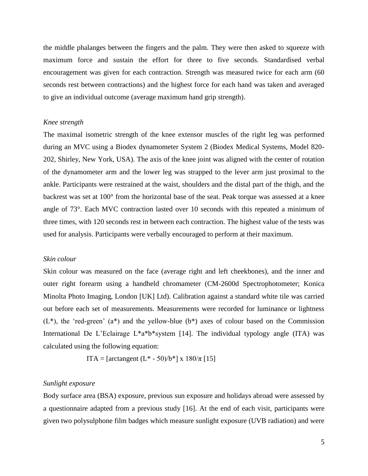the middle phalanges between the fingers and the palm. They were then asked to squeeze with maximum force and sustain the effort for three to five seconds. Standardised verbal encouragement was given for each contraction. Strength was measured twice for each arm (60 seconds rest between contractions) and the highest force for each hand was taken and averaged to give an individual outcome (average maximum hand grip strength).

### *Knee strength*

The maximal isometric strength of the knee extensor muscles of the right leg was performed during an MVC using a Biodex dynamometer System 2 (Biodex Medical Systems, Model 820- 202, Shirley, New York, USA). The axis of the knee joint was aligned with the center of rotation of the dynamometer arm and the lower leg was strapped to the lever arm just proximal to the ankle. Participants were restrained at the waist, shoulders and the distal part of the thigh, and the backrest was set at 100° from the horizontal base of the seat. Peak torque was assessed at a knee angle of 73°. Each MVC contraction lasted over 10 seconds with this repeated a minimum of three times, with 120 seconds rest in between each contraction. The highest value of the tests was used for analysis. Participants were verbally encouraged to perform at their maximum.

### *Skin colour*

Skin colour was measured on the face (average right and left cheekbones), and the inner and outer right forearm using a handheld chromameter (CM-2600d Spectrophotometer; Konica Minolta Photo Imaging, London [UK] Ltd). Calibration against a standard white tile was carried out before each set of measurements. Measurements were recorded for luminance or lightness  $(L^*)$ , the 'red-green'  $(a^*)$  and the yellow-blue  $(b^*)$  axes of colour based on the Commission International De L'Eclairage L\*a\*b\*system [14]. The individual typology angle (ITA) was calculated using the following equation:

ITA = [arctangent (L<sup>\*</sup> - 50)/b<sup>\*</sup>] x 180/π [15]

## *Sunlight exposure*

Body surface area (BSA) exposure, previous sun exposure and holidays abroad were assessed by a questionnaire adapted from a previous study [16]. At the end of each visit, participants were given two polysulphone film badges which measure sunlight exposure (UVB radiation) and were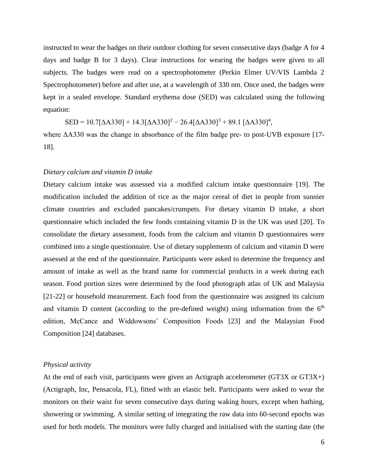instructed to wear the badges on their outdoor clothing for seven consecutive days (badge A for 4 days and badge B for 3 days). Clear instructions for wearing the badges were given to all subjects. The badges were read on a spectrophotometer (Perkin Elmer UV/VIS Lambda 2 Spectrophotometer) before and after use, at a wavelength of 330 nm. Once used, the badges were kept in a sealed envelope. Standard erythema dose (SED) was calculated using the following equation:

$$
SED = 10.7[\Delta A330] + 14.3[\Delta A330]^2 - 26.4[\Delta A330]^3 + 89.1 [\Delta A330]^4,
$$

where ΔA330 was the change in absorbance of the film badge pre- to post-UVB exposure [17- 18].

### *Dietary calcium and vitamin D intake*

Dietary calcium intake was assessed via a modified calcium intake questionnaire [19]. The modification included the addition of rice as the major cereal of diet in people from sunnier climate countries and excluded pancakes/crumpets. For dietary vitamin D intake, a short questionnaire which included the few foods containing vitamin D in the UK was used [20]. To consolidate the dietary assessment, foods from the calcium and vitamin D questionnaires were combined into a single questionnaire. Use of dietary supplements of calcium and vitamin D were assessed at the end of the questionnaire. Participants were asked to determine the frequency and amount of intake as well as the brand name for commercial products in a week during each season. Food portion sizes were determined by the food photograph atlas of UK and Malaysia [21-22] or household measurement. Each food from the questionnaire was assigned its calcium and vitamin D content (according to the pre-defined weight) using information from the  $6<sup>th</sup>$ edition, McCance and Widdowsons' Composition Foods [23] and the Malaysian Food Composition [24] databases.

#### *Physical activity*

At the end of each visit, participants were given an Actigraph accelerometer (GT3X or GT3X+) (Actigraph, Inc, Pensacola, FL), fitted with an elastic belt. Participants were asked to wear the monitors on their waist for seven consecutive days during waking hours, except when bathing, showering or swimming. A similar setting of integrating the raw data into 60-second epochs was used for both models. The monitors were fully charged and initialised with the starting date (the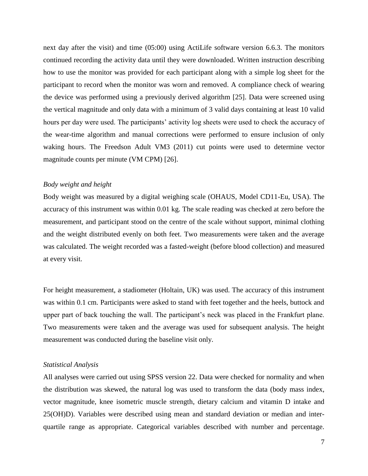next day after the visit) and time (05:00) using ActiLife software version 6.6.3. The monitors continued recording the activity data until they were downloaded. Written instruction describing how to use the monitor was provided for each participant along with a simple log sheet for the participant to record when the monitor was worn and removed. A compliance check of wearing the device was performed using a previously derived algorithm [25]. Data were screened using the vertical magnitude and only data with a minimum of 3 valid days containing at least 10 valid hours per day were used. The participants' activity log sheets were used to check the accuracy of the wear-time algorithm and manual corrections were performed to ensure inclusion of only waking hours. The Freedson Adult VM3 (2011) cut points were used to determine vector magnitude counts per minute (VM CPM) [26].

#### *Body weight and height*

Body weight was measured by a digital weighing scale (OHAUS, Model CD11-Eu, USA). The accuracy of this instrument was within 0.01 kg. The scale reading was checked at zero before the measurement, and participant stood on the centre of the scale without support, minimal clothing and the weight distributed evenly on both feet. Two measurements were taken and the average was calculated. The weight recorded was a fasted-weight (before blood collection) and measured at every visit.

For height measurement, a stadiometer (Holtain, UK) was used. The accuracy of this instrument was within 0.1 cm. Participants were asked to stand with feet together and the heels, buttock and upper part of back touching the wall. The participant's neck was placed in the Frankfurt plane. Two measurements were taken and the average was used for subsequent analysis. The height measurement was conducted during the baseline visit only.

#### *Statistical Analysis*

All analyses were carried out using SPSS version 22. Data were checked for normality and when the distribution was skewed, the natural log was used to transform the data (body mass index, vector magnitude, knee isometric muscle strength, dietary calcium and vitamin D intake and 25(OH)D). Variables were described using mean and standard deviation or median and interquartile range as appropriate. Categorical variables described with number and percentage.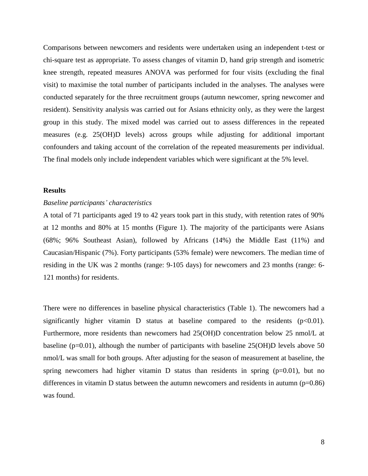Comparisons between newcomers and residents were undertaken using an independent t-test or chi-square test as appropriate. To assess changes of vitamin D, hand grip strength and isometric knee strength, repeated measures ANOVA was performed for four visits (excluding the final visit) to maximise the total number of participants included in the analyses. The analyses were conducted separately for the three recruitment groups (autumn newcomer, spring newcomer and resident). Sensitivity analysis was carried out for Asians ethnicity only, as they were the largest group in this study. The mixed model was carried out to assess differences in the repeated measures (e.g. 25(OH)D levels) across groups while adjusting for additional important confounders and taking account of the correlation of the repeated measurements per individual. The final models only include independent variables which were significant at the 5% level.

#### **Results**

#### *Baseline participants' characteristics*

A total of 71 participants aged 19 to 42 years took part in this study, with retention rates of 90% at 12 months and 80% at 15 months (Figure 1). The majority of the participants were Asians (68%; 96% Southeast Asian), followed by Africans (14%) the Middle East (11%) and Caucasian/Hispanic (7%). Forty participants (53% female) were newcomers. The median time of residing in the UK was 2 months (range: 9-105 days) for newcomers and 23 months (range: 6- 121 months) for residents.

There were no differences in baseline physical characteristics (Table 1). The newcomers had a significantly higher vitamin D status at baseline compared to the residents  $(p<0.01)$ . Furthermore, more residents than newcomers had 25(OH)D concentration below 25 nmol/L at baseline (p=0.01), although the number of participants with baseline 25(OH)D levels above 50 nmol/L was small for both groups. After adjusting for the season of measurement at baseline, the spring newcomers had higher vitamin  $D$  status than residents in spring ( $p=0.01$ ), but no differences in vitamin D status between the autumn newcomers and residents in autumn  $(p=0.86)$ was found.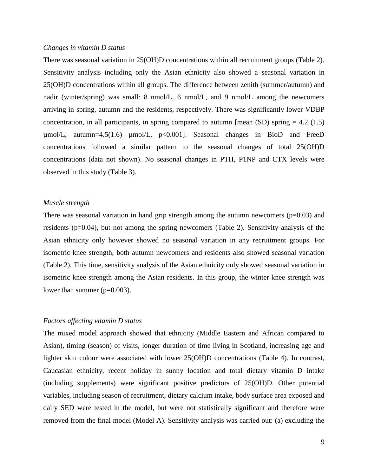#### *Changes in vitamin D status*

There was seasonal variation in 25(OH)D concentrations within all recruitment groups (Table 2). Sensitivity analysis including only the Asian ethnicity also showed a seasonal variation in 25(OH)D concentrations within all groups. The difference between zenith (summer/autumn) and nadir (winter/spring) was small: 8 nmol/L, 6 nmol/L, and 9 nmol/L among the newcomers arriving in spring, autumn and the residents, respectively. There was significantly lower VDBP concentration, in all participants, in spring compared to autumn [mean  $(SD)$  spring = 4.2 (1.5)  $\mu$ mol/L; autumn=4.5(1.6)  $\mu$ mol/L, p<0.001]. Seasonal changes in BioD and FreeD concentrations followed a similar pattern to the seasonal changes of total 25(OH)D concentrations (data not shown). No seasonal changes in PTH, P1NP and CTX levels were observed in this study (Table 3).

#### *Muscle strength*

There was seasonal variation in hand grip strength among the autumn newcomers  $(p=0.03)$  and residents (p=0.04), but not among the spring newcomers (Table 2). Sensitivity analysis of the Asian ethnicity only however showed no seasonal variation in any recruitment groups. For isometric knee strength, both autumn newcomers and residents also showed seasonal variation (Table 2). This time, sensitivity analysis of the Asian ethnicity only showed seasonal variation in isometric knee strength among the Asian residents. In this group, the winter knee strength was lower than summer (p=0.003).

### *Factors affecting vitamin D status*

The mixed model approach showed that ethnicity (Middle Eastern and African compared to Asian), timing (season) of visits, longer duration of time living in Scotland, increasing age and lighter skin colour were associated with lower 25(OH)D concentrations (Table 4). In contrast, Caucasian ethnicity, recent holiday in sunny location and total dietary vitamin D intake (including supplements) were significant positive predictors of 25(OH)D. Other potential variables, including season of recruitment, dietary calcium intake, body surface area exposed and daily SED were tested in the model, but were not statistically significant and therefore were removed from the final model (Model A). Sensitivity analysis was carried out: (a) excluding the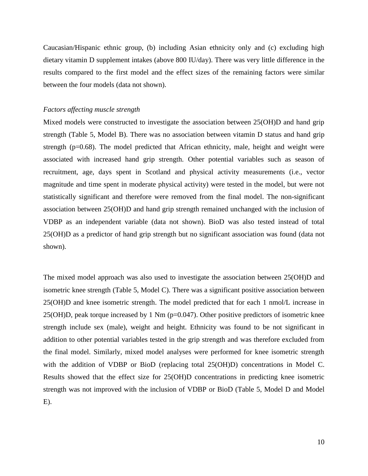Caucasian/Hispanic ethnic group, (b) including Asian ethnicity only and (c) excluding high dietary vitamin D supplement intakes (above 800 IU/day). There was very little difference in the results compared to the first model and the effect sizes of the remaining factors were similar between the four models (data not shown).

### *Factors affecting muscle strength*

Mixed models were constructed to investigate the association between 25(OH)D and hand grip strength (Table 5, Model B). There was no association between vitamin D status and hand grip strength (p=0.68). The model predicted that African ethnicity, male, height and weight were associated with increased hand grip strength. Other potential variables such as season of recruitment, age, days spent in Scotland and physical activity measurements (i.e., vector magnitude and time spent in moderate physical activity) were tested in the model, but were not statistically significant and therefore were removed from the final model. The non-significant association between 25(OH)D and hand grip strength remained unchanged with the inclusion of VDBP as an independent variable (data not shown). BioD was also tested instead of total 25(OH)D as a predictor of hand grip strength but no significant association was found (data not shown).

The mixed model approach was also used to investigate the association between 25(OH)D and isometric knee strength (Table 5, Model C). There was a significant positive association between 25(OH)D and knee isometric strength. The model predicted that for each 1 nmol/L increase in 25(OH)D, peak torque increased by 1 Nm (p=0.047). Other positive predictors of isometric knee strength include sex (male), weight and height. Ethnicity was found to be not significant in addition to other potential variables tested in the grip strength and was therefore excluded from the final model. Similarly, mixed model analyses were performed for knee isometric strength with the addition of VDBP or BioD (replacing total 25(OH)D) concentrations in Model C. Results showed that the effect size for 25(OH)D concentrations in predicting knee isometric strength was not improved with the inclusion of VDBP or BioD (Table 5, Model D and Model E).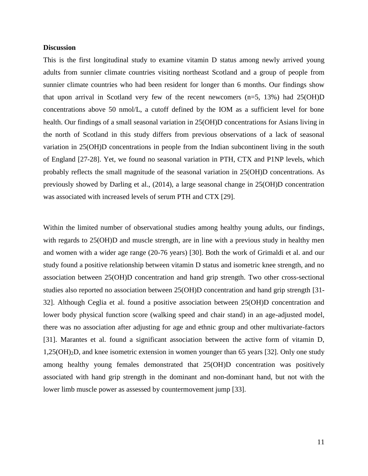### **Discussion**

This is the first longitudinal study to examine vitamin D status among newly arrived young adults from sunnier climate countries visiting northeast Scotland and a group of people from sunnier climate countries who had been resident for longer than 6 months. Our findings show that upon arrival in Scotland very few of the recent newcomers (n=5, 13%) had 25(OH)D concentrations above 50 nmol/L, a cutoff defined by the IOM as a sufficient level for bone health. Our findings of a small seasonal variation in 25(OH)D concentrations for Asians living in the north of Scotland in this study differs from previous observations of a lack of seasonal variation in 25(OH)D concentrations in people from the Indian subcontinent living in the south of England [27-28]. Yet, we found no seasonal variation in PTH, CTX and P1NP levels, which probably reflects the small magnitude of the seasonal variation in 25(OH)D concentrations. As previously showed by Darling et al., (2014), a large seasonal change in 25(OH)D concentration was associated with increased levels of serum PTH and CTX [29].

Within the limited number of observational studies among healthy young adults, our findings, with regards to 25(OH)D and muscle strength, are in line with a previous study in healthy men and women with a wider age range (20-76 years) [30]. Both the work of Grimaldi et al. and our study found a positive relationship between vitamin D status and isometric knee strength, and no association between 25(OH)D concentration and hand grip strength. Two other cross-sectional studies also reported no association between 25(OH)D concentration and hand grip strength [31- 32]. Although Ceglia et al. found a positive association between 25(OH)D concentration and lower body physical function score (walking speed and chair stand) in an age-adjusted model, there was no association after adjusting for age and ethnic group and other multivariate-factors [31]. Marantes et al. found a significant association between the active form of vitamin D, 1,25(OH)2D, and knee isometric extension in women younger than 65 years [32]. Only one study among healthy young females demonstrated that 25(OH)D concentration was positively associated with hand grip strength in the dominant and non-dominant hand, but not with the lower limb muscle power as assessed by countermovement jump [33].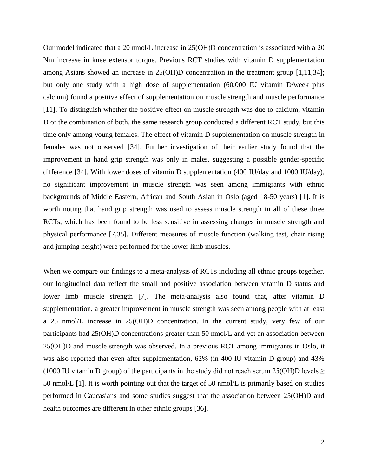Our model indicated that a 20 nmol/L increase in 25(OH)D concentration is associated with a 20 Nm increase in knee extensor torque. Previous RCT studies with vitamin D supplementation among Asians showed an increase in 25(OH)D concentration in the treatment group [1,11,34]; but only one study with a high dose of supplementation (60,000 IU vitamin D/week plus calcium) found a positive effect of supplementation on muscle strength and muscle performance [11]. To distinguish whether the positive effect on muscle strength was due to calcium, vitamin D or the combination of both, the same research group conducted a different RCT study, but this time only among young females. The effect of vitamin D supplementation on muscle strength in females was not observed [34]. Further investigation of their earlier study found that the improvement in hand grip strength was only in males, suggesting a possible gender-specific difference [34]. With lower doses of vitamin D supplementation (400 IU/day and 1000 IU/day), no significant improvement in muscle strength was seen among immigrants with ethnic backgrounds of Middle Eastern, African and South Asian in Oslo (aged 18-50 years) [1]. It is worth noting that hand grip strength was used to assess muscle strength in all of these three RCTs, which has been found to be less sensitive in assessing changes in muscle strength and physical performance [7,35]. Different measures of muscle function (walking test, chair rising and jumping height) were performed for the lower limb muscles.

When we compare our findings to a meta-analysis of RCTs including all ethnic groups together, our longitudinal data reflect the small and positive association between vitamin D status and lower limb muscle strength [7]. The meta-analysis also found that, after vitamin D supplementation, a greater improvement in muscle strength was seen among people with at least a 25 nmol/L increase in 25(OH)D concentration. In the current study, very few of our participants had 25(OH)D concentrations greater than 50 nmol/L and yet an association between 25(OH)D and muscle strength was observed. In a previous RCT among immigrants in Oslo, it was also reported that even after supplementation, 62% (in 400 IU vitamin D group) and 43% (1000 IU vitamin D group) of the participants in the study did not reach serum 25(OH)D levels  $\ge$ 50 nmol/L [1]. It is worth pointing out that the target of 50 nmol/L is primarily based on studies performed in Caucasians and some studies suggest that the association between 25(OH)D and health outcomes are different in other ethnic groups [36].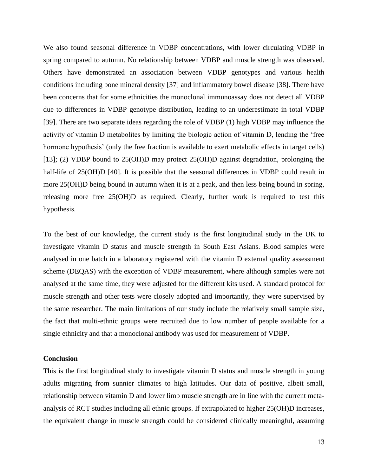We also found seasonal difference in VDBP concentrations, with lower circulating VDBP in spring compared to autumn. No relationship between VDBP and muscle strength was observed. Others have demonstrated an association between VDBP genotypes and various health conditions including bone mineral density [37] and inflammatory bowel disease [38]. There have been concerns that for some ethnicities the monoclonal immunoassay does not detect all VDBP due to differences in VDBP genotype distribution, leading to an underestimate in total VDBP [39]. There are two separate ideas regarding the role of VDBP (1) high VDBP may influence the activity of vitamin D metabolites by limiting the biologic action of vitamin D, lending the 'free hormone hypothesis' (only the free fraction is available to exert metabolic effects in target cells) [13]; (2) VDBP bound to 25(OH)D may protect 25(OH)D against degradation, prolonging the half-life of 25(OH)D [40]. It is possible that the seasonal differences in VDBP could result in more 25(OH)D being bound in autumn when it is at a peak, and then less being bound in spring, releasing more free 25(OH)D as required. Clearly, further work is required to test this hypothesis.

To the best of our knowledge, the current study is the first longitudinal study in the UK to investigate vitamin D status and muscle strength in South East Asians. Blood samples were analysed in one batch in a laboratory registered with the vitamin D external quality assessment scheme (DEQAS) with the exception of VDBP measurement, where although samples were not analysed at the same time, they were adjusted for the different kits used. A standard protocol for muscle strength and other tests were closely adopted and importantly, they were supervised by the same researcher. The main limitations of our study include the relatively small sample size, the fact that multi-ethnic groups were recruited due to low number of people available for a single ethnicity and that a monoclonal antibody was used for measurement of VDBP.

#### **Conclusion**

This is the first longitudinal study to investigate vitamin D status and muscle strength in young adults migrating from sunnier climates to high latitudes. Our data of positive, albeit small, relationship between vitamin D and lower limb muscle strength are in line with the current metaanalysis of RCT studies including all ethnic groups. If extrapolated to higher 25(OH)D increases, the equivalent change in muscle strength could be considered clinically meaningful, assuming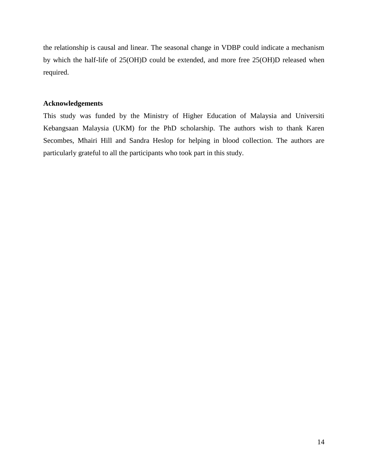the relationship is causal and linear. The seasonal change in VDBP could indicate a mechanism by which the half-life of 25(OH)D could be extended, and more free 25(OH)D released when required.

## **Acknowledgements**

This study was funded by the Ministry of Higher Education of Malaysia and Universiti Kebangsaan Malaysia (UKM) for the PhD scholarship. The authors wish to thank Karen Secombes, Mhairi Hill and Sandra Heslop for helping in blood collection. The authors are particularly grateful to all the participants who took part in this study.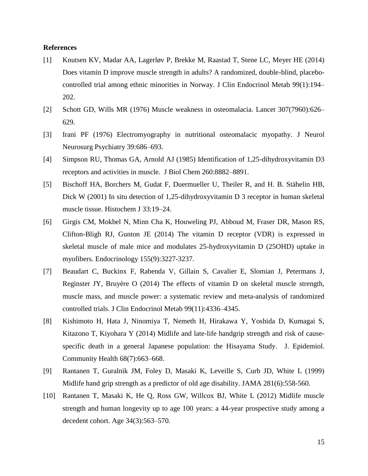### **References**

- [1] Knutsen KV, Madar AA, Lagerløv P, Brekke M, Raastad T, Stene LC, Meyer HE (2014) Does vitamin D improve muscle strength in adults? A randomized, double-blind, placebocontrolled trial among ethnic minorities in Norway. J Clin Endocrinol Metab 99(1):194– 202.
- [2] Schott GD, Wills MR (1976) Muscle weakness in osteomalacia. Lancet 307(7960):626– 629.
- [3] Irani PF (1976) Electromyography in nutritional osteomalacic myopathy. J Neurol Neurosurg Psychiatry 39:686–693.
- [4] Simpson RU, Thomas GA, Arnold AJ (1985) Identification of 1,25-dihydroxyvitamin D3 receptors and activities in muscle. J Biol Chem 260:8882–8891.
- [5] Bischoff HA, Borchers M, Gudat F, Duermueller U, Theiler R, and H. B. Stähelin HB, Dick W (2001) In situ detection of 1,25-dihydroxyvitamin D 3 receptor in human skeletal muscle tissue. Histochem J 33:19–24.
- [6] Girgis CM, Mokbel N, Minn Cha K, Houweling PJ, Abboud M, Fraser DR, Mason RS, Clifton-Bligh RJ, Gunton JE (2014) The vitamin D receptor (VDR) is expressed in skeletal muscle of male mice and modulates 25-hydroxyvitamin D (25OHD) uptake in myofibers. Endocrinology 155(9):3227-3237.
- [7] Beaudart C, Buckinx F, Rabenda V, Gillain S, Cavalier E, Slomian J, Petermans J, Reginster JY, Bruyère O (2014) The effects of vitamin D on skeletal muscle strength, muscle mass, and muscle power: a systematic review and meta-analysis of randomized controlled trials. J Clin Endocrinol Metab 99(11):4336–4345.
- [8] Kishimoto H, Hata J, Ninomiya T, Nemeth H, Hirakawa Y, Yoshida D, Kumagai S, Kitazono T, Kiyohara Y (2014) Midlife and late-life handgrip strength and risk of causespecific death in a general Japanese population: the Hisayama Study. J. Epidemiol. Community Health 68(7):663–668.
- [9] Rantanen T, Guralnik JM, Foley D, Masaki K, Leveille S, Curb JD, White L (1999) Midlife hand grip strength as a predictor of old age disability. JAMA 281(6):558-560.
- [10] Rantanen T, Masaki K, He Q, Ross GW, Willcox BJ, White L (2012) Midlife muscle strength and human longevity up to age 100 years: a 44-year prospective study among a decedent cohort. Age 34(3):563–570.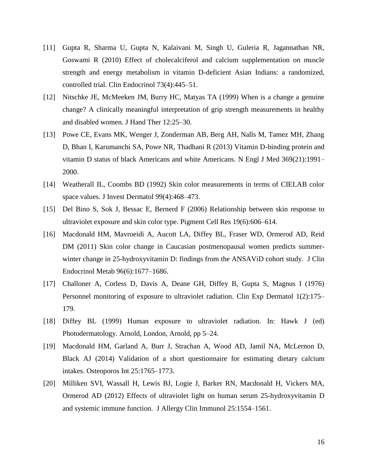- [11] Gupta R, Sharma U, Gupta N, Kalaivani M, Singh U, Guleria R, Jagannathan NR, Goswami R (2010) Effect of cholecalciferol and calcium supplementation on muscle strength and energy metabolism in vitamin D-deficient Asian Indians: a randomized, controlled trial. Clin Endocrinol 73(4):445–51.
- [12] Nitschke JE, McMeeken JM, Burry HC, Matyas TA (1999) When is a change a genuine change? A clinically meaningful interpretation of grip strength measurements in healthy and disabled women. J Hand Ther 12:25–30.
- [13] Powe CE, Evans MK, Wenger J, Zonderman AB, Berg AH, Nalls M, Tamez MH, Zhang D, Bhan I, Karumanchi SA, Powe NR, Thadhani R (2013) Vitamin D-binding protein and vitamin D status of black Americans and white Americans. N Engl J Med 369(21):1991– 2000.
- [14] Weatherall IL, Coombs BD (1992) Skin color measurements in terms of CIELAB color space values. J Invest Dermatol 99(4):468–473.
- [15] Del Bino S, Sok J, Bessac E, Bernerd F (2006) Relationship between skin response to ultraviolet exposure and skin color type. Pigment Cell Res 19(6):606–614.
- [16] Macdonald HM, Mavroeidi A, Aucott LA, Diffey BL, Fraser WD, Ormerod AD, Reid DM (2011) Skin color change in Caucasian postmenopausal women predicts summerwinter change in 25-hydroxyvitamin D: findings from the ANSAViD cohort study. J Clin Endocrinol Metab 96(6):1677–1686.
- [17] Challoner A, Corless D, Davis A, Deane GH, Diffey B, Gupta S, Magnus I (1976) Personnel monitoring of exposure to ultraviolet radiation. Clin Exp Dermatol 1(2):175– 179.
- [18] Diffey BL (1999) Human exposure to ultraviolet radiation. In: Hawk J (ed) Photodermatology. Arnold, London, Arnold, pp 5–24.
- [19] Macdonald HM, Garland A, Burr J, Strachan A, Wood AD, Jamil NA, McLernon D, Black AJ (2014) Validation of a short questionnaire for estimating dietary calcium intakes. Osteoporos Int 25:1765–1773.
- [20] Milliken SVI, Wassall H, Lewis BJ, Logie J, Barker RN, Macdonald H, Vickers MA, Ormerod AD (2012) Effects of ultraviolet light on human serum 25-hydroxyvitamin D and systemic immune function. J Allergy Clin Immunol 25:1554–1561.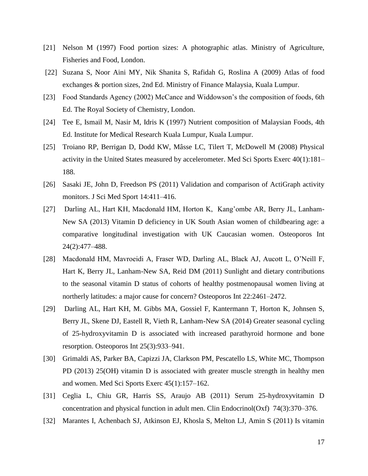- [21] Nelson M (1997) Food portion sizes: A photographic atlas. Ministry of Agriculture, Fisheries and Food, London.
- [22] Suzana S, Noor Aini MY, Nik Shanita S, Rafidah G, Roslina A (2009) Atlas of food exchanges & portion sizes, 2nd Ed. Ministry of Finance Malaysia, Kuala Lumpur.
- [23] Food Standards Agency (2002) McCance and Widdowson's the composition of foods, 6th Ed. The Royal Society of Chemistry, London.
- [24] Tee E, Ismail M, Nasir M, Idris K (1997) Nutrient composition of Malaysian Foods, 4th Ed. Institute for Medical Research Kuala Lumpur, Kuala Lumpur.
- [25] Troiano RP, Berrigan D, Dodd KW, Mâsse LC, Tilert T, McDowell M (2008) Physical activity in the United States measured by accelerometer. Med Sci Sports Exerc 40(1):181– 188.
- [26] Sasaki JE, John D, Freedson PS (2011) Validation and comparison of ActiGraph activity monitors. J Sci Med Sport 14:411–416.
- [27] Darling AL, Hart KH, Macdonald HM, Horton K, Kang'ombe AR, Berry JL, Lanham-New SA (2013) Vitamin D deficiency in UK South Asian women of childbearing age: a comparative longitudinal investigation with UK Caucasian women. Osteoporos Int 24(2):477–488.
- [28] Macdonald HM, Mavroeidi A, Fraser WD, Darling AL, Black AJ, Aucott L, O'Neill F, Hart K, Berry JL, Lanham-New SA, Reid DM (2011) Sunlight and dietary contributions to the seasonal vitamin D status of cohorts of healthy postmenopausal women living at northerly latitudes: a major cause for concern? Osteoporos Int 22:2461–2472.
- [29] Darling AL, Hart KH, M. Gibbs MA, Gossiel F, Kantermann T, Horton K, Johnsen S, Berry JL, Skene DJ, Eastell R, Vieth R, Lanham-New SA (2014) Greater seasonal cycling of 25-hydroxyvitamin D is associated with increased parathyroid hormone and bone resorption. Osteoporos Int 25(3):933–941.
- [30] Grimaldi AS, Parker BA, Capizzi JA, Clarkson PM, Pescatello LS, White MC, Thompson PD (2013) 25(OH) vitamin D is associated with greater muscle strength in healthy men and women. Med Sci Sports Exerc 45(1):157–162.
- [31] Ceglia L, Chiu GR, Harris SS, Araujo AB (2011) Serum 25-hydroxyvitamin D concentration and physical function in adult men. Clin Endocrinol(Oxf) 74(3):370–376.
- [32] Marantes I, Achenbach SJ, Atkinson EJ, Khosla S, Melton LJ, Amin S (2011) Is vitamin